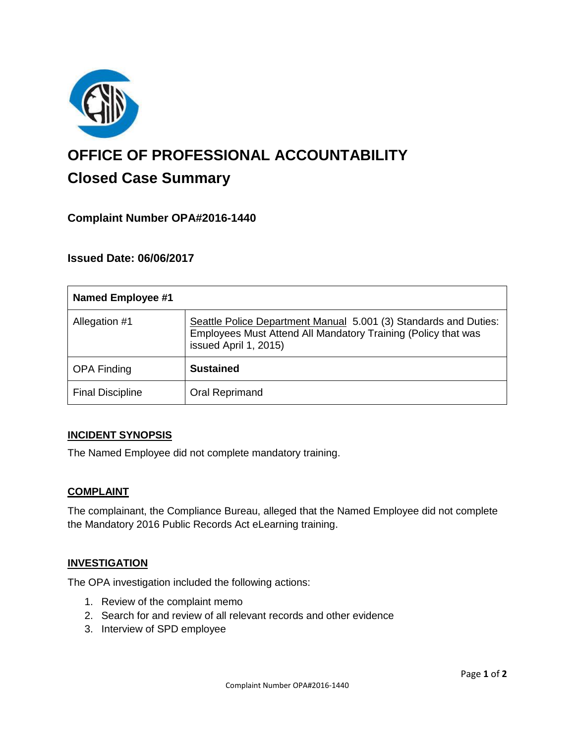

# **OFFICE OF PROFESSIONAL ACCOUNTABILITY Closed Case Summary**

# **Complaint Number OPA#2016-1440**

## **Issued Date: 06/06/2017**

| <b>Named Employee #1</b> |                                                                                                                                                            |
|--------------------------|------------------------------------------------------------------------------------------------------------------------------------------------------------|
| Allegation #1            | Seattle Police Department Manual 5.001 (3) Standards and Duties:<br>Employees Must Attend All Mandatory Training (Policy that was<br>issued April 1, 2015) |
| <b>OPA Finding</b>       | <b>Sustained</b>                                                                                                                                           |
| <b>Final Discipline</b>  | Oral Reprimand                                                                                                                                             |

#### **INCIDENT SYNOPSIS**

The Named Employee did not complete mandatory training.

#### **COMPLAINT**

The complainant, the Compliance Bureau, alleged that the Named Employee did not complete the Mandatory 2016 Public Records Act eLearning training.

#### **INVESTIGATION**

The OPA investigation included the following actions:

- 1. Review of the complaint memo
- 2. Search for and review of all relevant records and other evidence
- 3. Interview of SPD employee